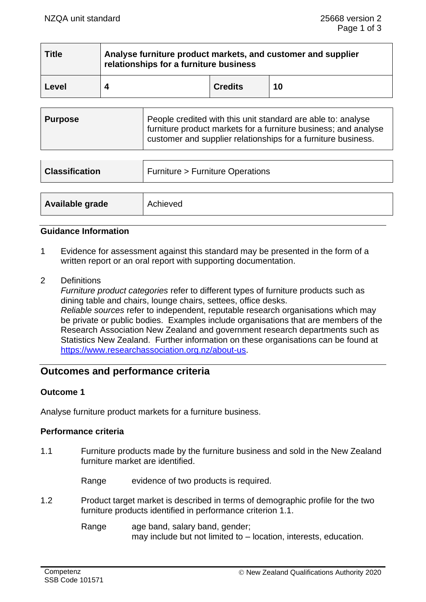| <b>Title</b> | Analyse furniture product markets, and customer and supplier<br>relationships for a furniture business |                |    |
|--------------|--------------------------------------------------------------------------------------------------------|----------------|----|
| Level        |                                                                                                        | <b>Credits</b> | 10 |

| People credited with this unit standard are able to: analyse<br>  Purpose<br>furniture product markets for a furniture business; and analyse<br>customer and supplier relationships for a furniture business. |  |
|---------------------------------------------------------------------------------------------------------------------------------------------------------------------------------------------------------------|--|
|---------------------------------------------------------------------------------------------------------------------------------------------------------------------------------------------------------------|--|

| <b>Classification</b> | Furniture > Furniture Operations |  |
|-----------------------|----------------------------------|--|
|                       |                                  |  |
| Available grade       | Achieved                         |  |

### **Guidance Information**

- 1 Evidence for assessment against this standard may be presented in the form of a written report or an oral report with supporting documentation.
- 2 Definitions

*Furniture product categories* refer to different types of furniture products such as dining table and chairs, lounge chairs, settees, office desks. *Reliable sources* refer to independent, reputable research organisations which may be private or public bodies. Examples include organisations that are members of the Research Association New Zealand and government research departments such as Statistics New Zealand. Further information on these organisations can be found at [https://www.researchassociation.org.nz/about-us.](https://www.researchassociation.org.nz/about-us)

# **Outcomes and performance criteria**

### **Outcome 1**

Analyse furniture product markets for a furniture business.

### **Performance criteria**

1.1 Furniture products made by the furniture business and sold in the New Zealand furniture market are identified.

Range evidence of two products is required.

1.2 Product target market is described in terms of demographic profile for the two furniture products identified in performance criterion 1.1.

> Range age band, salary band, gender; may include but not limited to – location, interests, education.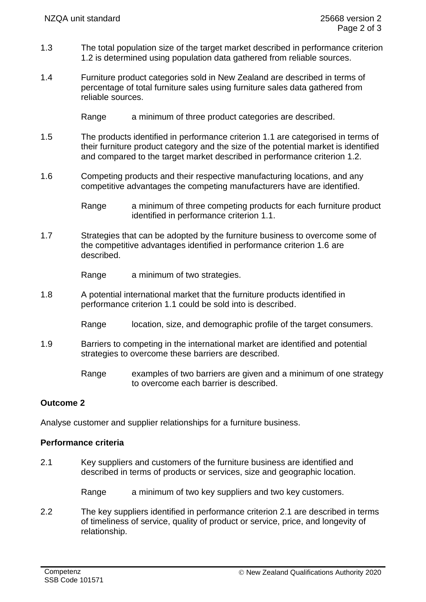- 1.3 The total population size of the target market described in performance criterion 1.2 is determined using population data gathered from reliable sources.
- 1.4 Furniture product categories sold in New Zealand are described in terms of percentage of total furniture sales using furniture sales data gathered from reliable sources.
	- Range a minimum of three product categories are described.
- 1.5 The products identified in performance criterion 1.1 are categorised in terms of their furniture product category and the size of the potential market is identified and compared to the target market described in performance criterion 1.2.
- 1.6 Competing products and their respective manufacturing locations, and any competitive advantages the competing manufacturers have are identified.

Range a minimum of three competing products for each furniture product identified in performance criterion 1.1.

1.7 Strategies that can be adopted by the furniture business to overcome some of the competitive advantages identified in performance criterion 1.6 are described.

Range a minimum of two strategies.

- 1.8 A potential international market that the furniture products identified in performance criterion 1.1 could be sold into is described.
	- Range location, size, and demographic profile of the target consumers.
- 1.9 Barriers to competing in the international market are identified and potential strategies to overcome these barriers are described.
	- Range examples of two barriers are given and a minimum of one strategy to overcome each barrier is described.

## **Outcome 2**

Analyse customer and supplier relationships for a furniture business.

## **Performance criteria**

2.1 Key suppliers and customers of the furniture business are identified and described in terms of products or services, size and geographic location.

Range a minimum of two key suppliers and two key customers.

2.2 The key suppliers identified in performance criterion 2.1 are described in terms of timeliness of service, quality of product or service, price, and longevity of relationship.